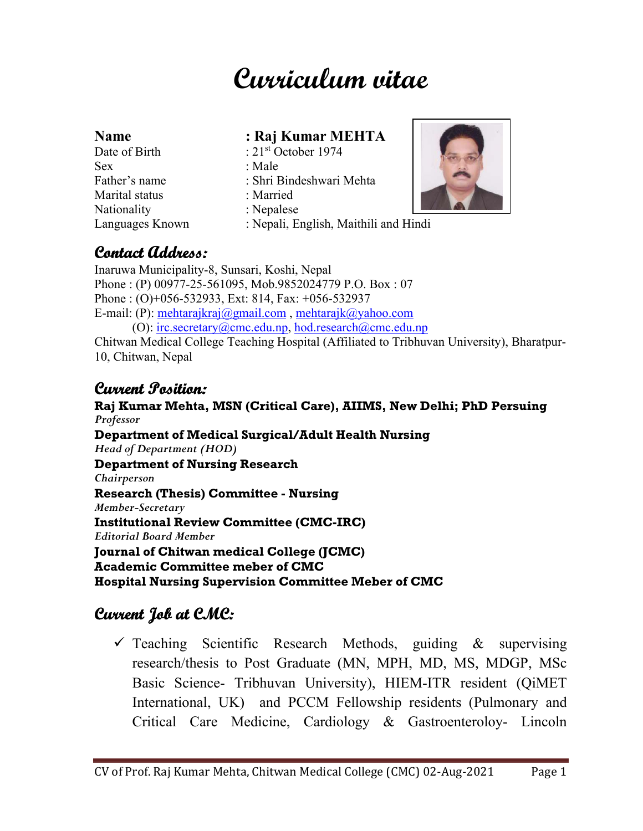# **Curriculum vitae**

| <b>Name</b>     | : Raj Kumar MEHTA                     |  |
|-----------------|---------------------------------------|--|
| Date of Birth   | : $21st$ October 1974                 |  |
| <b>Sex</b>      | : Male                                |  |
| Father's name   | : Shri Bindeshwari Mehta              |  |
| Marital status  | : Married                             |  |
| Nationality     | : Nepalese                            |  |
| Languages Known | : Nepali, English, Maithili and Hindi |  |



### **Contact Address:**

Inaruwa Municipality-8, Sunsari, Koshi, Nepal Phone : (P) 00977-25-561095, Mob.9852024779 P.O. Box : 07 Phone : (O)+056-532933, Ext: 814, Fax: +056-532937 E-mail: (P): mehtarajkraj@gmail.com , mehtarajk@yahoo.com (O):  $irc. \nsecretary@cmc.edu.np, hod. \nresearch@cmc.edu.np$ Chitwan Medical College Teaching Hospital (Affiliated to Tribhuvan University), Bharatpur-10, Chitwan, Nepal

### **Current Position:**

**Raj Kumar Mehta, MSN (Critical Care), AIIMS, New Delhi; PhD Persuing**  *Professor*  **Department of Medical Surgical/Adult Health Nursing**  *Head of Department (HOD)*  **Department of Nursing Research**  *Chairperson*  **Research (Thesis) Committee - Nursing**  *Member-Secretary*  **Institutional Review Committee (CMC-IRC)**  *Editorial Board Member*  **Journal of Chitwan medical College (JCMC) Academic Committee meber of CMC Hospital Nursing Supervision Committee Meber of CMC** 

# **Current Job at CMC:**

 $\checkmark$  Teaching Scientific Research Methods, guiding & supervising research/thesis to Post Graduate (MN, MPH, MD, MS, MDGP, MSc Basic Science- Tribhuvan University), HIEM-ITR resident (QiMET International, UK) and PCCM Fellowship residents (Pulmonary and Critical Care Medicine, Cardiology & Gastroenteroloy- Lincoln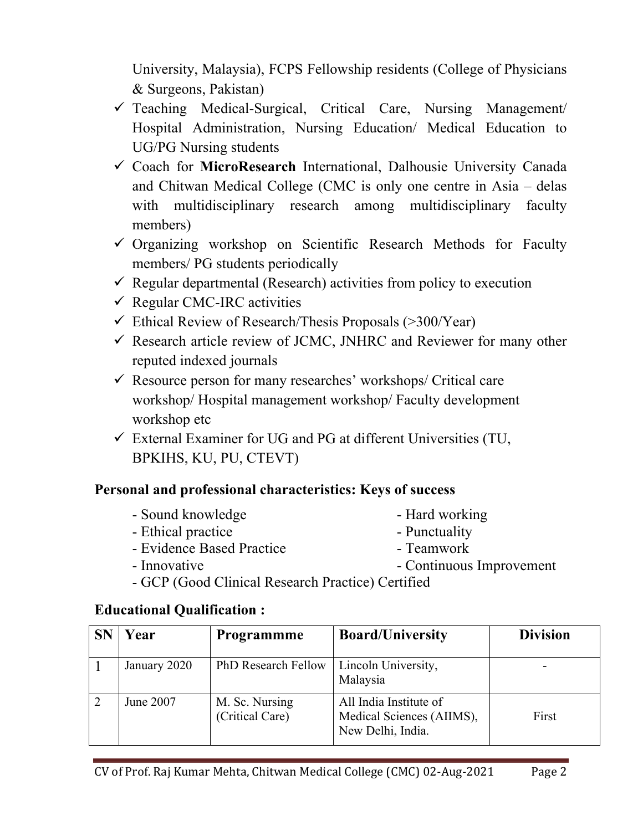University, Malaysia), FCPS Fellowship residents (College of Physicians & Surgeons, Pakistan)

- $\checkmark$  Teaching Medical-Surgical, Critical Care, Nursing Management Hospital Administration, Nursing Education/ Medical Education to UG/PG Nursing students
- Coach for **MicroResearch** International, Dalhousie University Canada and Chitwan Medical College (CMC is only one centre in Asia – delas with multidisciplinary research among multidisciplinary faculty members)
- $\checkmark$  Organizing workshop on Scientific Research Methods for Faculty members/ PG students periodically
- $\checkmark$  Regular departmental (Research) activities from policy to execution
- $\checkmark$  Regular CMC-IRC activities
- $\checkmark$  Ethical Review of Research/Thesis Proposals (>300/Year)
- $\checkmark$  Research article review of JCMC, JNHRC and Reviewer for many other reputed indexed journals
- $\checkmark$  Resource person for many researches' workshops/ Critical care workshop/ Hospital management workshop/ Faculty development workshop etc
- $\checkmark$  External Examiner for UG and PG at different Universities (TU, BPKIHS, KU, PU, CTEVT)

### **Personal and professional characteristics: Keys of success**

- Sound knowledge Hard working
- Ethical practice  **Punctuality**
- Evidence Based Practice Teamwork
- 

- 
- Innovative  **Continuous Improvement**
- GCP (Good Clinical Research Practice) Certified

#### **Educational Qualification :**

| Year         | <b>Programmme</b>                 | <b>Board/University</b>                                                  | <b>Division</b> |
|--------------|-----------------------------------|--------------------------------------------------------------------------|-----------------|
| January 2020 | <b>PhD Research Fellow</b>        | Lincoln University,<br>Malaysia                                          |                 |
| June 2007    | M. Sc. Nursing<br>(Critical Care) | All India Institute of<br>Medical Sciences (AIIMS),<br>New Delhi, India. | First           |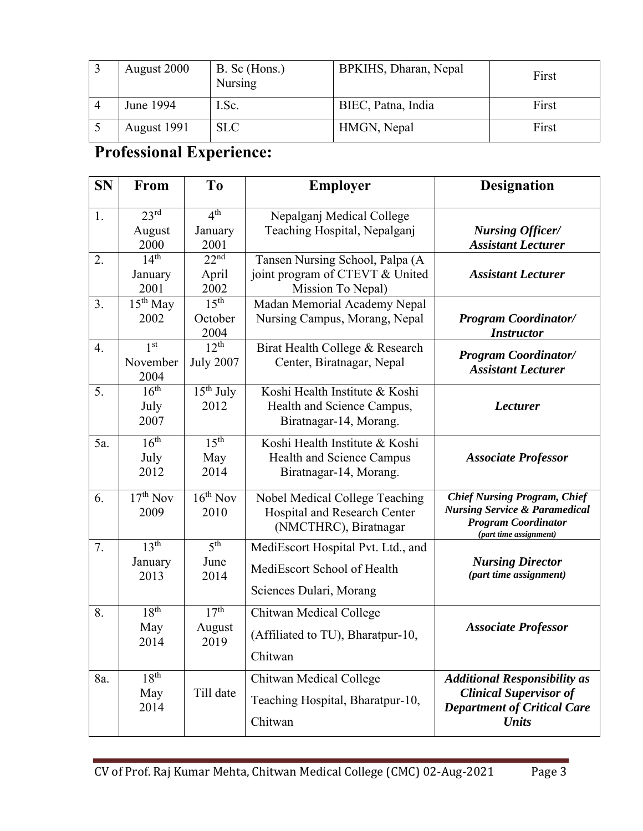| August 2000 | B. Sc (Hons.)<br><b>Nursing</b> | BPKIHS, Dharan, Nepal | First |
|-------------|---------------------------------|-----------------------|-------|
| June 1994   | I.Sc.                           | BIEC, Patna, India    | First |
| August 1991 | <b>SLC</b>                      | HMGN, Nepal           | First |

# **Professional Experience:**

| <b>SN</b> | From                                    | To                                   | <b>Employer</b>                                                                              | <b>Designation</b>                                                                                                                      |
|-----------|-----------------------------------------|--------------------------------------|----------------------------------------------------------------------------------------------|-----------------------------------------------------------------------------------------------------------------------------------------|
| 1.        | $23^{\text{rd}}$<br>August<br>2000      | 4 <sup>th</sup><br>January<br>2001   | Nepalganj Medical College<br>Teaching Hospital, Nepalganj                                    | <b>Nursing Officer/</b><br><b>Assistant Lecturer</b>                                                                                    |
| 2.        | $\overline{14^{th}}$<br>January<br>2001 | 22 <sup>nd</sup><br>April<br>2002    | Tansen Nursing School, Palpa (A<br>joint program of CTEVT & United<br>Mission To Nepal)      | <b>Assistant Lecturer</b>                                                                                                               |
| 3.        | $15th$ May<br>2002                      | 15 <sup>th</sup><br>October<br>2004  | Madan Memorial Academy Nepal<br>Nursing Campus, Morang, Nepal                                | <b>Program Coordinator/</b><br><b>Instructor</b>                                                                                        |
| 4.        | 1 <sup>st</sup><br>November<br>2004     | 12 <sup>th</sup><br><b>July 2007</b> | Birat Health College & Research<br>Center, Biratnagar, Nepal                                 | <b>Program Coordinator/</b><br><b>Assistant Lecturer</b>                                                                                |
| 5.        | 16 <sup>th</sup><br>July<br>2007        | $15th$ July<br>2012                  | Koshi Health Institute & Koshi<br>Health and Science Campus,<br>Biratnagar-14, Morang.       | <b>Lecturer</b>                                                                                                                         |
| 5a.       | 16 <sup>th</sup><br>July<br>2012        | 15 <sup>th</sup><br>May<br>2014      | Koshi Health Institute & Koshi<br>Health and Science Campus<br>Biratnagar-14, Morang.        | <b>Associate Professor</b>                                                                                                              |
| 6.        | $17th$ Nov<br>2009                      | $16th$ Nov<br>2010                   | Nobel Medical College Teaching<br>Hospital and Research Center<br>(NMCTHRC), Biratnagar      | <b>Chief Nursing Program, Chief</b><br><b>Nursing Service &amp; Paramedical</b><br><b>Program Coordinator</b><br>(part time assignment) |
| 7.        | 13 <sup>th</sup><br>January<br>2013     | 5 <sup>th</sup><br>June<br>2014      | MediEscort Hospital Pvt. Ltd., and<br>MediEscort School of Health<br>Sciences Dulari, Morang | <b>Nursing Director</b><br>(part time assignment)                                                                                       |
| 8.        | 18 <sup>th</sup><br>May<br>2014         | 17 <sup>th</sup><br>August<br>2019   | Chitwan Medical College<br>(Affiliated to TU), Bharatpur-10,<br>Chitwan                      | <b>Associate Professor</b>                                                                                                              |
| 8a.       | 18 <sup>th</sup><br>May<br>2014         | Till date                            | Chitwan Medical College<br>Teaching Hospital, Bharatpur-10,<br>Chitwan                       | <b>Additional Responsibility as</b><br><b>Clinical Supervisor of</b><br><b>Department of Critical Care</b><br><b>Units</b>              |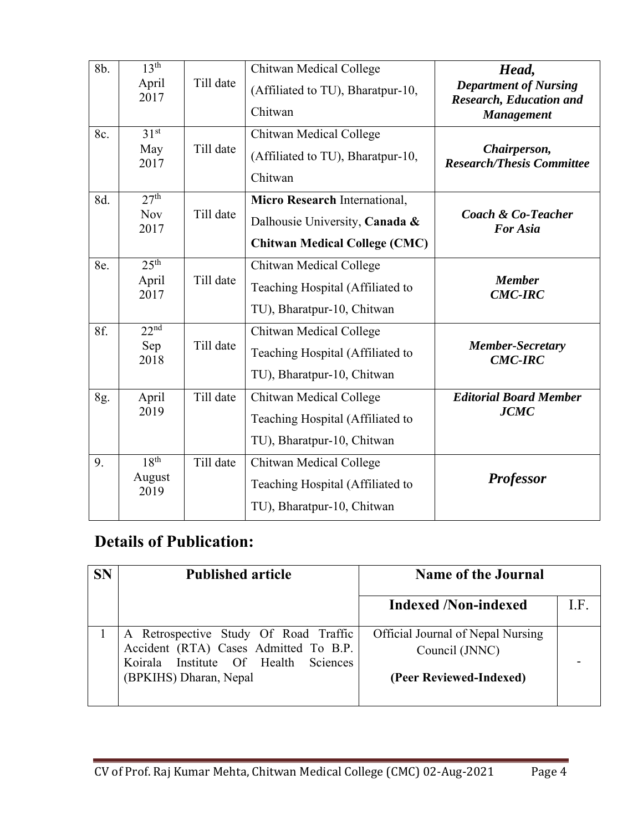| 8b. | 13 <sup>th</sup><br>April<br>2017      | Till date | Chitwan Medical College<br>(Affiliated to TU), Bharatpur-10,<br>Chitwan                                 | Head,<br><b>Department of Nursing</b><br><b>Research, Education and</b><br><b>Management</b> |
|-----|----------------------------------------|-----------|---------------------------------------------------------------------------------------------------------|----------------------------------------------------------------------------------------------|
| 8c. | 31 <sup>st</sup><br>May<br>2017        | Till date | Chitwan Medical College<br>(Affiliated to TU), Bharatpur-10,<br>Chitwan                                 | Chairperson,<br><b>Research/Thesis Committee</b>                                             |
| 8d. | 27 <sup>th</sup><br><b>Nov</b><br>2017 | Till date | Micro Research International,<br>Dalhousie University, Canada &<br><b>Chitwan Medical College (CMC)</b> | <b>Coach &amp; Co-Teacher</b><br><b>For Asia</b>                                             |
| 8e. | 25 <sup>th</sup><br>April<br>2017      | Till date | Chitwan Medical College<br>Teaching Hospital (Affiliated to<br>TU), Bharatpur-10, Chitwan               | <b>Member</b><br><b>CMC-IRC</b>                                                              |
| 8f. | 22 <sup>nd</sup><br>Sep<br>2018        | Till date | Chitwan Medical College<br>Teaching Hospital (Affiliated to<br>TU), Bharatpur-10, Chitwan               | <b>Member-Secretary</b><br><b>CMC-IRC</b>                                                    |
| 8g. | April<br>2019                          | Till date | Chitwan Medical College<br>Teaching Hospital (Affiliated to<br>TU), Bharatpur-10, Chitwan               | <b>Editorial Board Member</b><br><b>JCMC</b>                                                 |
| 9.  | 18 <sup>th</sup><br>August<br>2019     | Till date | Chitwan Medical College<br>Teaching Hospital (Affiliated to<br>TU), Bharatpur-10, Chitwan               | <b>Professor</b>                                                                             |

# **Details of Publication:**

| <b>SN</b> | <b>Published article</b>                                                                                                                         | <b>Name of the Journal</b>                                                     |     |
|-----------|--------------------------------------------------------------------------------------------------------------------------------------------------|--------------------------------------------------------------------------------|-----|
|           |                                                                                                                                                  | <b>Indexed /Non-indexed</b>                                                    | LF. |
|           | A Retrospective Study Of Road Traffic<br>Accident (RTA) Cases Admitted To B.P.<br>Koirala Institute Of Health Sciences<br>(BPKIHS) Dharan, Nepal | Official Journal of Nepal Nursing<br>Council (JNNC)<br>(Peer Reviewed-Indexed) |     |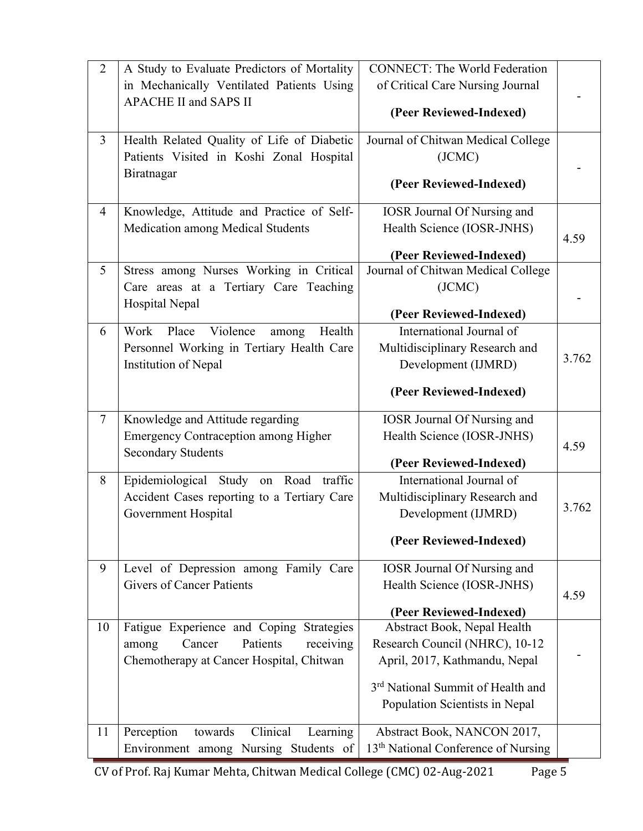| $\overline{2}$ | A Study to Evaluate Predictors of Mortality                                 | <b>CONNECT: The World Federation</b>                          |       |
|----------------|-----------------------------------------------------------------------------|---------------------------------------------------------------|-------|
|                | in Mechanically Ventilated Patients Using                                   | of Critical Care Nursing Journal                              |       |
|                | <b>APACHE II and SAPS II</b>                                                | (Peer Reviewed-Indexed)                                       |       |
|                |                                                                             |                                                               |       |
| $\overline{3}$ | Health Related Quality of Life of Diabetic                                  | Journal of Chitwan Medical College                            |       |
|                | Patients Visited in Koshi Zonal Hospital                                    | (JCMC)                                                        |       |
|                | Biratnagar                                                                  | (Peer Reviewed-Indexed)                                       |       |
|                |                                                                             |                                                               |       |
| $\overline{4}$ | Knowledge, Attitude and Practice of Self-                                   | <b>IOSR Journal Of Nursing and</b>                            |       |
|                | <b>Medication among Medical Students</b>                                    | Health Science (IOSR-JNHS)                                    | 4.59  |
|                |                                                                             | (Peer Reviewed-Indexed)                                       |       |
| 5              | Stress among Nurses Working in Critical                                     | Journal of Chitwan Medical College                            |       |
|                | Care areas at a Tertiary Care Teaching                                      | (JCMC)                                                        |       |
|                | Hospital Nepal                                                              |                                                               |       |
|                |                                                                             | (Peer Reviewed-Indexed)                                       |       |
| 6              | Violence<br>Work<br>Place<br>Health<br>among                                | International Journal of                                      |       |
|                | Personnel Working in Tertiary Health Care                                   | Multidisciplinary Research and                                | 3.762 |
|                | Institution of Nepal                                                        | Development (IJMRD)                                           |       |
|                |                                                                             | (Peer Reviewed-Indexed)                                       |       |
|                |                                                                             |                                                               |       |
| $\overline{7}$ | Knowledge and Attitude regarding                                            | <b>IOSR Journal Of Nursing and</b>                            |       |
|                | <b>Emergency Contraception among Higher</b>                                 | Health Science (IOSR-JNHS)                                    | 4.59  |
|                | <b>Secondary Students</b>                                                   | (Peer Reviewed-Indexed)                                       |       |
| 8              | Epidemiological Study on<br>Road traffic                                    | International Journal of                                      |       |
|                | Accident Cases reporting to a Tertiary Care                                 | Multidisciplinary Research and                                |       |
|                | Government Hospital                                                         | Development (IJMRD)                                           | 3.762 |
|                |                                                                             |                                                               |       |
|                |                                                                             | (Peer Reviewed-Indexed)                                       |       |
| 9              | Level of Depression among Family Care                                       | <b>IOSR Journal Of Nursing and</b>                            |       |
|                | <b>Givers of Cancer Patients</b>                                            | Health Science (IOSR-JNHS)                                    |       |
|                |                                                                             |                                                               | 4.59  |
|                |                                                                             | (Peer Reviewed-Indexed)                                       |       |
| 10             | Fatigue Experience and Coping Strategies<br>Patients<br>Cancer<br>receiving | Abstract Book, Nepal Health<br>Research Council (NHRC), 10-12 |       |
|                | among<br>Chemotherapy at Cancer Hospital, Chitwan                           | April, 2017, Kathmandu, Nepal                                 |       |
|                |                                                                             |                                                               |       |
|                |                                                                             | 3 <sup>rd</sup> National Summit of Health and                 |       |
|                |                                                                             | Population Scientists in Nepal                                |       |
| 11             | Perception<br>Clinical<br>towards<br>Learning                               | Abstract Book, NANCON 2017,                                   |       |
|                | Environment among Nursing Students of                                       | 13 <sup>th</sup> National Conference of Nursing               |       |
|                |                                                                             |                                                               |       |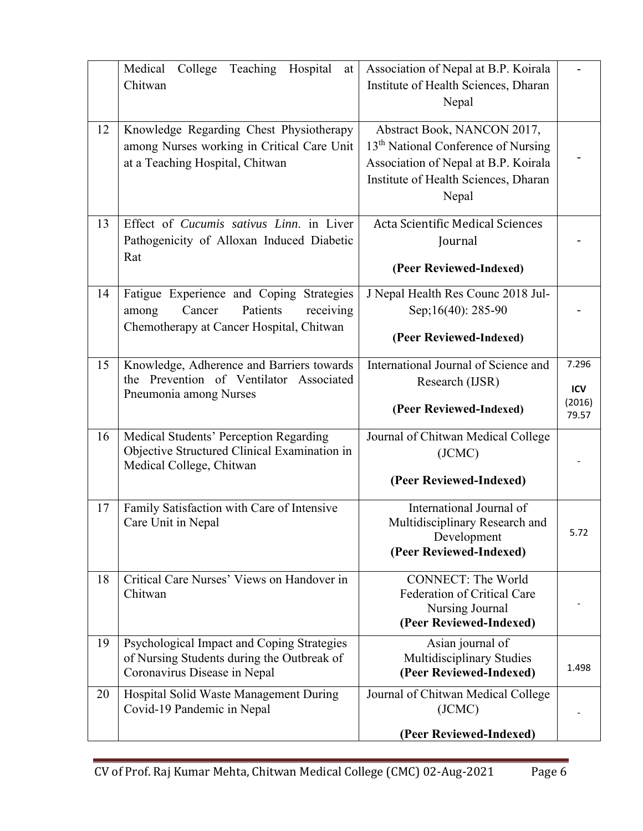|    | College Teaching Hospital<br>Medical<br>at<br>Chitwan                                                                            | Association of Nepal at B.P. Koirala<br>Institute of Health Sciences, Dharan<br>Nepal                                                                                   |                                 |
|----|----------------------------------------------------------------------------------------------------------------------------------|-------------------------------------------------------------------------------------------------------------------------------------------------------------------------|---------------------------------|
| 12 | Knowledge Regarding Chest Physiotherapy<br>among Nurses working in Critical Care Unit<br>at a Teaching Hospital, Chitwan         | Abstract Book, NANCON 2017,<br>13 <sup>th</sup> National Conference of Nursing<br>Association of Nepal at B.P. Koirala<br>Institute of Health Sciences, Dharan<br>Nepal |                                 |
| 13 | Effect of Cucumis sativus Linn. in Liver<br>Pathogenicity of Alloxan Induced Diabetic<br>Rat                                     | <b>Acta Scientific Medical Sciences</b><br>Journal<br>(Peer Reviewed-Indexed)                                                                                           |                                 |
| 14 | Fatigue Experience and Coping Strategies<br>Cancer<br>Patients<br>receiving<br>among<br>Chemotherapy at Cancer Hospital, Chitwan | J Nepal Health Res Counc 2018 Jul-<br>Sep;16(40): 285-90<br>(Peer Reviewed-Indexed)                                                                                     |                                 |
| 15 | Knowledge, Adherence and Barriers towards<br>the Prevention of Ventilator Associated<br>Pneumonia among Nurses                   | International Journal of Science and<br>Research (IJSR)<br>(Peer Reviewed-Indexed)                                                                                      | 7.296<br>ICV<br>(2016)<br>79.57 |
| 16 | Medical Students' Perception Regarding<br>Objective Structured Clinical Examination in<br>Medical College, Chitwan               | Journal of Chitwan Medical College<br>(JCMC)<br>(Peer Reviewed-Indexed)                                                                                                 |                                 |
| 17 | Family Satisfaction with Care of Intensive<br>Care Unit in Nepal                                                                 | International Journal of<br>Multidisciplinary Research and<br>Development<br>(Peer Reviewed-Indexed)                                                                    | 5.72                            |
| 18 | Critical Care Nurses' Views on Handover in<br>Chitwan                                                                            | <b>CONNECT: The World</b><br><b>Federation of Critical Care</b><br>Nursing Journal<br>(Peer Reviewed-Indexed)                                                           |                                 |
| 19 | Psychological Impact and Coping Strategies<br>of Nursing Students during the Outbreak of<br>Coronavirus Disease in Nepal         | Asian journal of<br>Multidisciplinary Studies<br>(Peer Reviewed-Indexed)                                                                                                | 1.498                           |
| 20 | Hospital Solid Waste Management During<br>Covid-19 Pandemic in Nepal                                                             | Journal of Chitwan Medical College<br>(JCMC)<br>(Peer Reviewed-Indexed)                                                                                                 |                                 |
|    |                                                                                                                                  |                                                                                                                                                                         |                                 |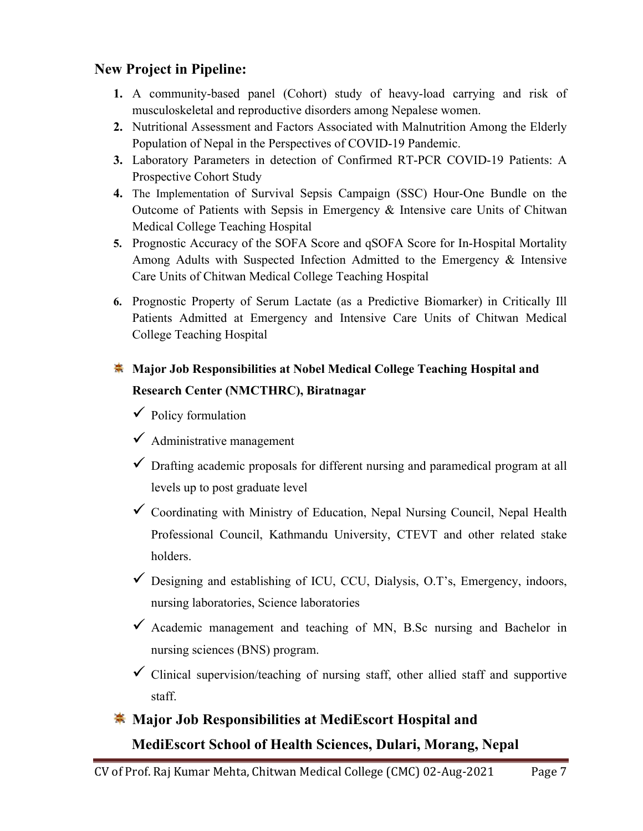### **New Project in Pipeline:**

- **1.** A community-based panel (Cohort) study of heavy-load carrying and risk of musculoskeletal and reproductive disorders among Nepalese women.
- **2.** Nutritional Assessment and Factors Associated with Malnutrition Among the Elderly Population of Nepal in the Perspectives of COVID-19 Pandemic.
- **3.** Laboratory Parameters in detection of Confirmed RT-PCR COVID-19 Patients: A Prospective Cohort Study
- **4.** The Implementation of Survival Sepsis Campaign (SSC) Hour-One Bundle on the Outcome of Patients with Sepsis in Emergency & Intensive care Units of Chitwan Medical College Teaching Hospital
- **5.** Prognostic Accuracy of the SOFA Score and qSOFA Score for In-Hospital Mortality Among Adults with Suspected Infection Admitted to the Emergency & Intensive Care Units of Chitwan Medical College Teaching Hospital
- **6.** Prognostic Property of Serum Lactate (as a Predictive Biomarker) in Critically Ill Patients Admitted at Emergency and Intensive Care Units of Chitwan Medical College Teaching Hospital

### **Major Job Responsibilities at Nobel Medical College Teaching Hospital and Research Center (NMCTHRC), Biratnagar**

- $\checkmark$  Policy formulation
- $\checkmark$  Administrative management
- $\checkmark$  Drafting academic proposals for different nursing and paramedical program at all levels up to post graduate level
- Coordinating with Ministry of Education, Nepal Nursing Council, Nepal Health Professional Council, Kathmandu University, CTEVT and other related stake holders.
- Designing and establishing of ICU, CCU, Dialysis, O.T's, Emergency, indoors, nursing laboratories, Science laboratories
- $\checkmark$  Academic management and teaching of MN, B.Sc nursing and Bachelor in nursing sciences (BNS) program.
- $\checkmark$  Clinical supervision/teaching of nursing staff, other allied staff and supportive staff.

# **Major Job Responsibilities at MediEscort Hospital and MediEscort School of Health Sciences, Dulari, Morang, Nepal**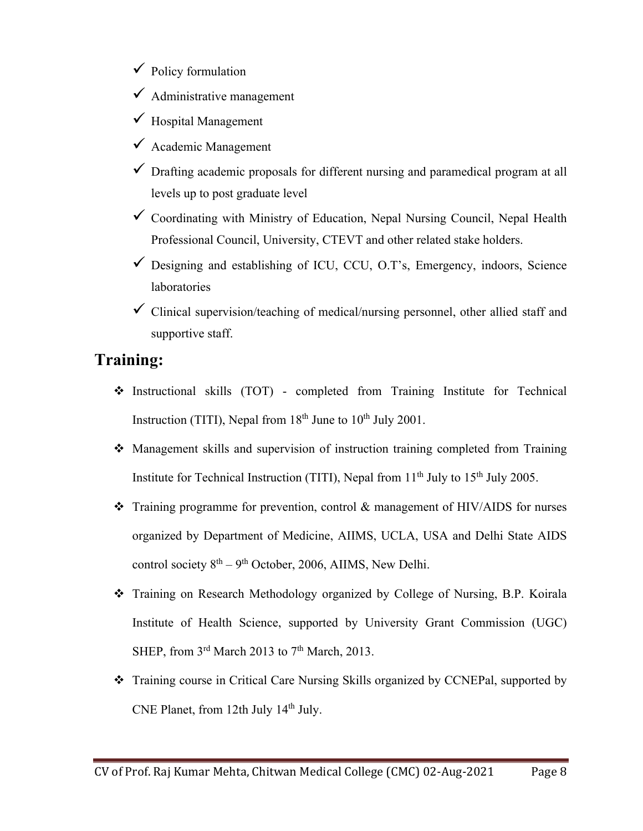- $\checkmark$  Policy formulation
- $\checkmark$  Administrative management
- $\checkmark$  Hospital Management
- $\checkmark$  Academic Management
- $\checkmark$  Drafting academic proposals for different nursing and paramedical program at all levels up to post graduate level
- $\checkmark$  Coordinating with Ministry of Education, Nepal Nursing Council, Nepal Health Professional Council, University, CTEVT and other related stake holders.
- $\checkmark$  Designing and establishing of ICU, CCU, O.T's, Emergency, indoors, Science laboratories
- $\checkmark$  Clinical supervision/teaching of medical/nursing personnel, other allied staff and supportive staff.

### **Training:**

- Instructional skills (TOT) completed from Training Institute for Technical Instruction (TITI), Nepal from  $18<sup>th</sup>$  June to  $10<sup>th</sup>$  July 2001.
- Management skills and supervision of instruction training completed from Training Institute for Technical Instruction (TITI), Nepal from  $11<sup>th</sup>$  July to  $15<sup>th</sup>$  July 2005.
- \* Training programme for prevention, control & management of HIV/AIDS for nurses organized by Department of Medicine, AIIMS, UCLA, USA and Delhi State AIDS control society  $8<sup>th</sup> - 9<sup>th</sup>$  October, 2006, AIIMS, New Delhi.
- Training on Research Methodology organized by College of Nursing, B.P. Koirala Institute of Health Science, supported by University Grant Commission (UGC) SHEP, from  $3<sup>rd</sup>$  March 2013 to  $7<sup>th</sup>$  March, 2013.
- Training course in Critical Care Nursing Skills organized by CCNEPal, supported by CNE Planet, from 12th July 14<sup>th</sup> July.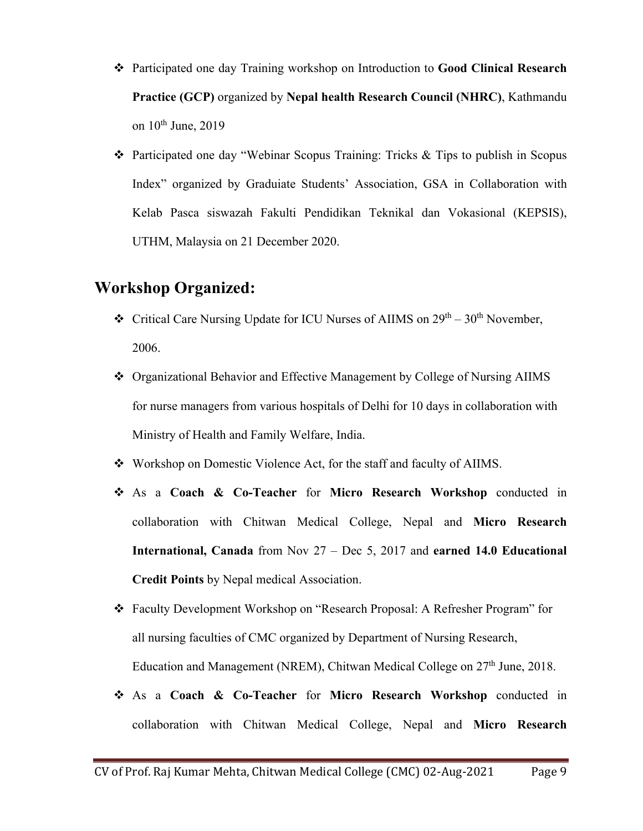- Participated one day Training workshop on Introduction to **Good Clinical Research Practice (GCP)** organized by **Nepal health Research Council (NHRC)**, Kathmandu on  $10^{th}$  June, 2019
- Participated one day "Webinar Scopus Training: Tricks & Tips to publish in Scopus Index" organized by Graduiate Students' Association, GSA in Collaboration with Kelab Pasca siswazah Fakulti Pendidikan Teknikal dan Vokasional (KEPSIS), UTHM, Malaysia on 21 December 2020.

### **Workshop Organized:**

- $\cdot \cdot$  Critical Care Nursing Update for ICU Nurses of AIIMS on  $29^{th} 30^{th}$  November, 2006.
- Organizational Behavior and Effective Management by College of Nursing AIIMS for nurse managers from various hospitals of Delhi for 10 days in collaboration with Ministry of Health and Family Welfare, India.
- Workshop on Domestic Violence Act, for the staff and faculty of AIIMS.
- As a **Coach & Co-Teacher** for **Micro Research Workshop** conducted in collaboration with Chitwan Medical College, Nepal and **Micro Research International, Canada** from Nov 27 – Dec 5, 2017 and **earned 14.0 Educational Credit Points** by Nepal medical Association.
- Faculty Development Workshop on "Research Proposal: A Refresher Program" for all nursing faculties of CMC organized by Department of Nursing Research, Education and Management (NREM), Chitwan Medical College on 27<sup>th</sup> June, 2018.
- As a **Coach & Co-Teacher** for **Micro Research Workshop** conducted in collaboration with Chitwan Medical College, Nepal and **Micro Research**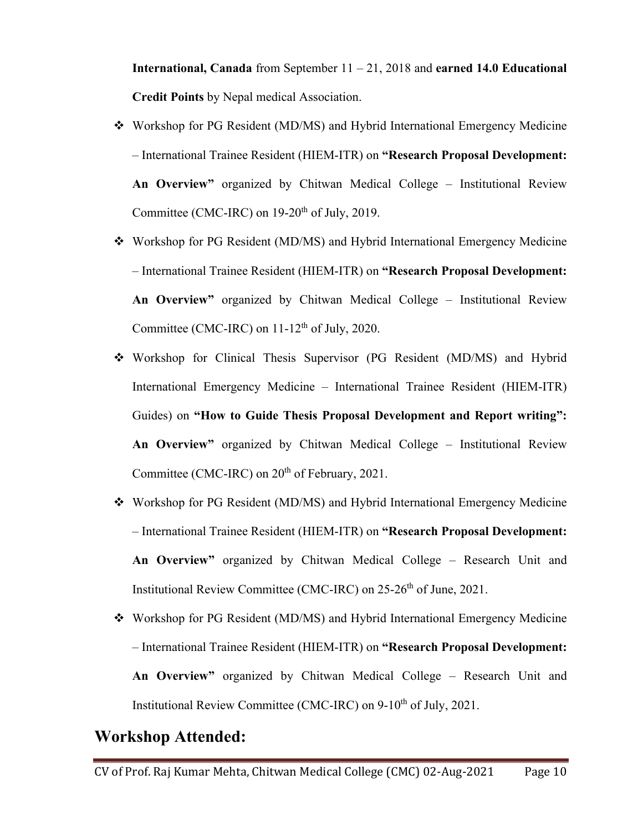**International, Canada** from September 11 – 21, 2018 and **earned 14.0 Educational Credit Points** by Nepal medical Association.

- Workshop for PG Resident (MD/MS) and Hybrid International Emergency Medicine – International Trainee Resident (HIEM-ITR) on **"Research Proposal Development: An Overview"** organized by Chitwan Medical College – Institutional Review Committee (CMC-IRC) on  $19-20^{th}$  of July, 2019.
- Workshop for PG Resident (MD/MS) and Hybrid International Emergency Medicine – International Trainee Resident (HIEM-ITR) on **"Research Proposal Development: An Overview"** organized by Chitwan Medical College – Institutional Review Committee (CMC-IRC) on  $11-12^{th}$  of July, 2020.
- Workshop for Clinical Thesis Supervisor (PG Resident (MD/MS) and Hybrid International Emergency Medicine – International Trainee Resident (HIEM-ITR) Guides) on **"How to Guide Thesis Proposal Development and Report writing": An Overview"** organized by Chitwan Medical College – Institutional Review Committee (CMC-IRC) on  $20<sup>th</sup>$  of February, 2021.
- Workshop for PG Resident (MD/MS) and Hybrid International Emergency Medicine – International Trainee Resident (HIEM-ITR) on **"Research Proposal Development: An Overview"** organized by Chitwan Medical College – Research Unit and Institutional Review Committee (CMC-IRC) on 25-26<sup>th</sup> of June, 2021.
- Workshop for PG Resident (MD/MS) and Hybrid International Emergency Medicine – International Trainee Resident (HIEM-ITR) on **"Research Proposal Development: An Overview"** organized by Chitwan Medical College – Research Unit and Institutional Review Committee (CMC-IRC) on 9-10<sup>th</sup> of July, 2021.

### **Workshop Attended:**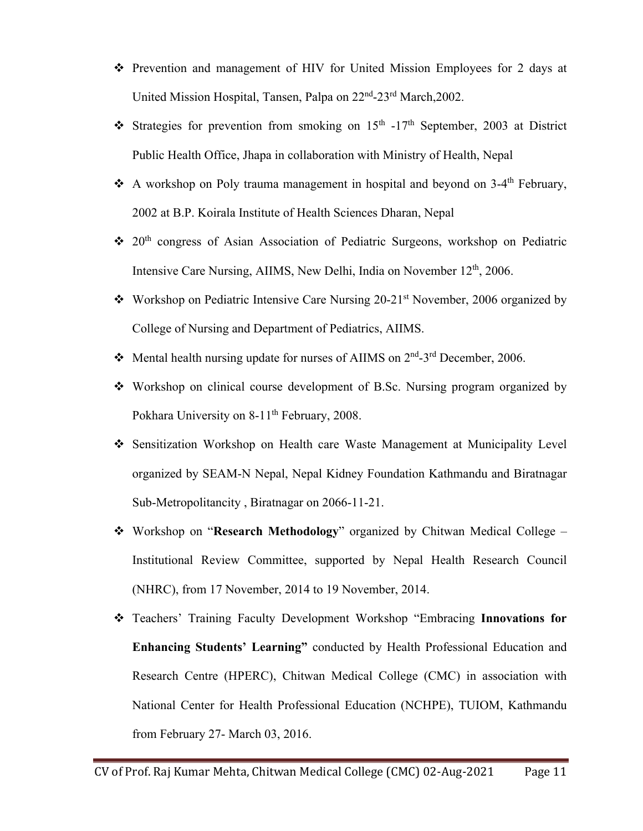- Prevention and management of HIV for United Mission Employees for 2 days at United Mission Hospital, Tansen, Palpa on 22nd-23rd March,2002.
- Strategies for prevention from smoking on  $15<sup>th</sup>$  -17<sup>th</sup> September, 2003 at District Public Health Office, Jhapa in collaboration with Ministry of Health, Nepal
- A workshop on Poly trauma management in hospital and beyond on  $3-4$ <sup>th</sup> February, 2002 at B.P. Koirala Institute of Health Sciences Dharan, Nepal
- $\div$  20<sup>th</sup> congress of Asian Association of Pediatric Surgeons, workshop on Pediatric Intensive Care Nursing, AIIMS, New Delhi, India on November 12<sup>th</sup>, 2006.
- Workshop on Pediatric Intensive Care Nursing 20-21<sup>st</sup> November, 2006 organized by College of Nursing and Department of Pediatrics, AIIMS.
- Mental health nursing update for nurses of AIIMS on  $2<sup>nd</sup>$ -3<sup>rd</sup> December, 2006.
- Workshop on clinical course development of B.Sc. Nursing program organized by Pokhara University on 8-11<sup>th</sup> February, 2008.
- Sensitization Workshop on Health care Waste Management at Municipality Level organized by SEAM-N Nepal, Nepal Kidney Foundation Kathmandu and Biratnagar Sub-Metropolitancity , Biratnagar on 2066-11-21.
- Workshop on "**Research Methodology**" organized by Chitwan Medical College Institutional Review Committee, supported by Nepal Health Research Council (NHRC), from 17 November, 2014 to 19 November, 2014.
- Teachers' Training Faculty Development Workshop "Embracing **Innovations for Enhancing Students' Learning"** conducted by Health Professional Education and Research Centre (HPERC), Chitwan Medical College (CMC) in association with National Center for Health Professional Education (NCHPE), TUIOM, Kathmandu from February 27- March 03, 2016.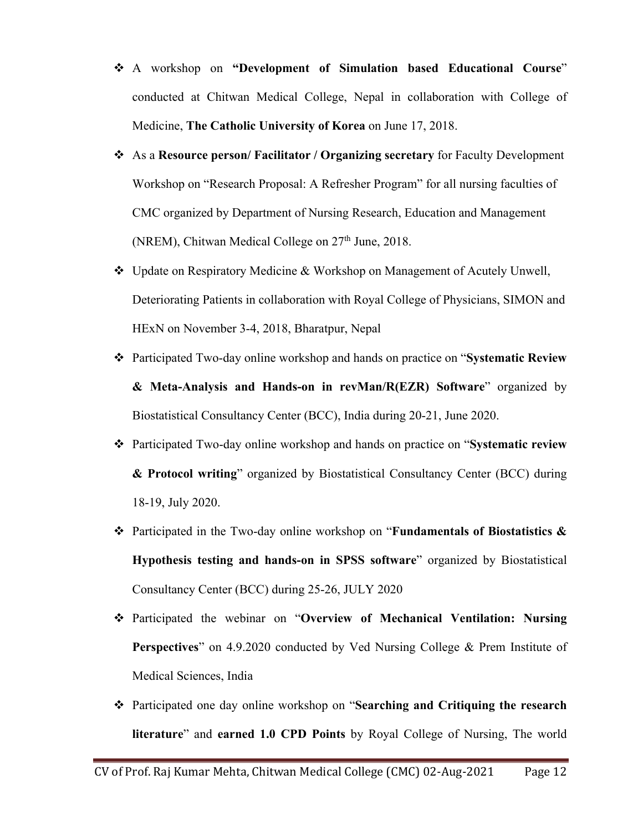- A workshop on **"Development of Simulation based Educational Course**" conducted at Chitwan Medical College, Nepal in collaboration with College of Medicine, **The Catholic University of Korea** on June 17, 2018.
- As a **Resource person/ Facilitator / Organizing secretary** for Faculty Development Workshop on "Research Proposal: A Refresher Program" for all nursing faculties of CMC organized by Department of Nursing Research, Education and Management (NREM), Chitwan Medical College on  $27<sup>th</sup>$  June, 2018.
- Update on Respiratory Medicine & Workshop on Management of Acutely Unwell, Deteriorating Patients in collaboration with Royal College of Physicians, SIMON and HExN on November 3-4, 2018, Bharatpur, Nepal
- Participated Two-day online workshop and hands on practice on "**Systematic Review & Meta-Analysis and Hands-on in revMan/R(EZR) Software**" organized by Biostatistical Consultancy Center (BCC), India during 20-21, June 2020.
- Participated Two-day online workshop and hands on practice on "**Systematic review & Protocol writing**" organized by Biostatistical Consultancy Center (BCC) during 18-19, July 2020.
- Participated in the Two-day online workshop on "**Fundamentals of Biostatistics & Hypothesis testing and hands-on in SPSS software**" organized by Biostatistical Consultancy Center (BCC) during 25-26, JULY 2020
- Participated the webinar on "**Overview of Mechanical Ventilation: Nursing Perspectives**" on 4.9.2020 conducted by Ved Nursing College & Prem Institute of Medical Sciences, India
- Participated one day online workshop on "**Searching and Critiquing the research literature**" and **earned 1.0 CPD Points** by Royal College of Nursing, The world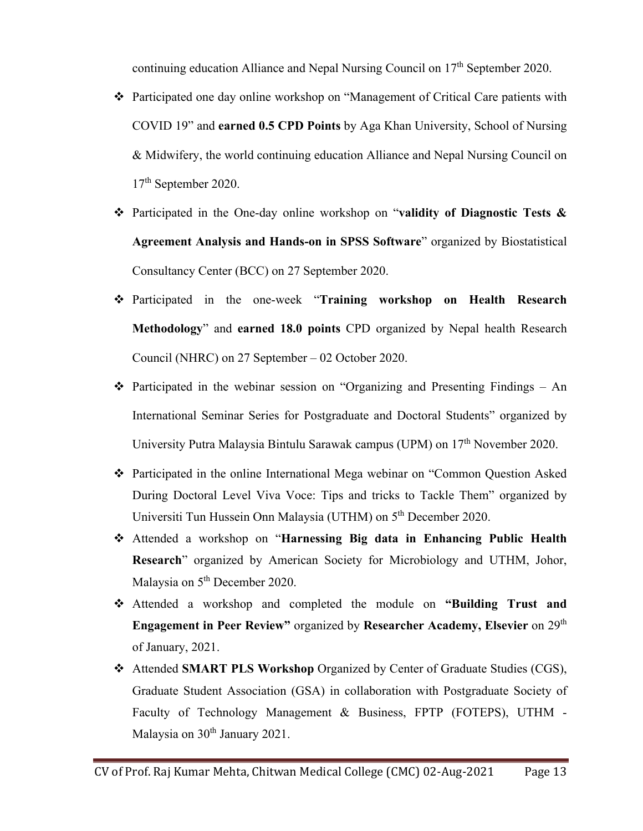continuing education Alliance and Nepal Nursing Council on 17<sup>th</sup> September 2020.

- Participated one day online workshop on "Management of Critical Care patients with COVID 19" and **earned 0.5 CPD Points** by Aga Khan University, School of Nursing & Midwifery, the world continuing education Alliance and Nepal Nursing Council on 17th September 2020.
- Participated in the One-day online workshop on "**validity of Diagnostic Tests & Agreement Analysis and Hands-on in SPSS Software**" organized by Biostatistical Consultancy Center (BCC) on 27 September 2020.
- Participated in the one-week "**Training workshop on Health Research Methodology**" and **earned 18.0 points** CPD organized by Nepal health Research Council (NHRC) on 27 September – 02 October 2020.
- $\triangle$  Participated in the webinar session on "Organizing and Presenting Findings An International Seminar Series for Postgraduate and Doctoral Students" organized by University Putra Malaysia Bintulu Sarawak campus (UPM) on 17<sup>th</sup> November 2020.
- Participated in the online International Mega webinar on "Common Question Asked During Doctoral Level Viva Voce: Tips and tricks to Tackle Them" organized by Universiti Tun Hussein Onn Malaysia (UTHM) on 5<sup>th</sup> December 2020.
- Attended a workshop on "**Harnessing Big data in Enhancing Public Health Research**" organized by American Society for Microbiology and UTHM, Johor, Malaysia on 5<sup>th</sup> December 2020.
- Attended a workshop and completed the module on **"Building Trust and Engagement in Peer Review"** organized by Researcher Academy, Elsevier on 29<sup>th</sup> of January, 2021.
- Attended **SMART PLS Workshop** Organized by Center of Graduate Studies (CGS), Graduate Student Association (GSA) in collaboration with Postgraduate Society of Faculty of Technology Management & Business, FPTP (FOTEPS), UTHM - Malaysia on 30<sup>th</sup> January 2021.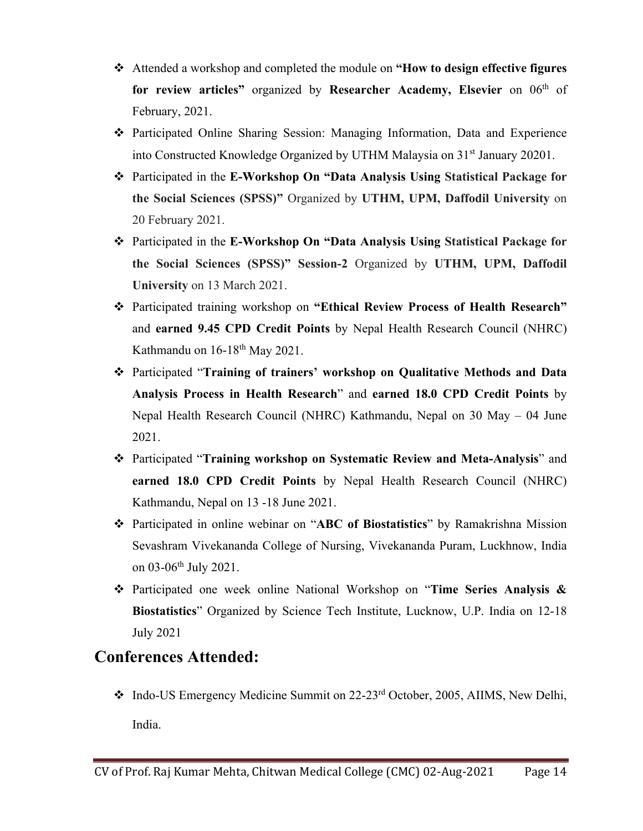- Attended a workshop and completed the module on **"How to design effective figures**  for review articles" organized by Researcher Academy, Elsevier on 06<sup>th</sup> of February, 2021.
- Participated Online Sharing Session: Managing Information, Data and Experience into Constructed Knowledge Organized by UTHM Malaysia on 31<sup>st</sup> January 20201.
- Participated in the **E-Workshop On "Data Analysis Using Statistical Package for the Social Sciences (SPSS)"** Organized by **UTHM, UPM, Daffodil University** on 20 February 2021.
- Participated in the **E-Workshop On "Data Analysis Using Statistical Package for the Social Sciences (SPSS)" Session-2** Organized by **UTHM, UPM, Daffodil University** on 13 March 2021.
- Participated training workshop on **"Ethical Review Process of Health Research"** and **earned 9.45 CPD Credit Points** by Nepal Health Research Council (NHRC) Kathmandu on 16-18<sup>th</sup> May 2021.
- Participated "**Training of trainers' workshop on Qualitative Methods and Data Analysis Process in Health Research**" and **earned 18.0 CPD Credit Points** by Nepal Health Research Council (NHRC) Kathmandu, Nepal on 30 May – 04 June 2021.
- Participated "**Training workshop on Systematic Review and Meta-Analysis**" and **earned 18.0 CPD Credit Points** by Nepal Health Research Council (NHRC) Kathmandu, Nepal on 13 -18 June 2021.
- Participated in online webinar on "**ABC of Biostatistics**" by Ramakrishna Mission Sevashram Vivekananda College of Nursing, Vivekananda Puram, Luckhnow, India on 03-06<sup>th</sup> July 2021.
- Participated one week online National Workshop on "**Time Series Analysis & Biostatistics**" Organized by Science Tech Institute, Lucknow, U.P. India on 12-18 July 2021

### **Conferences Attended:**

\* Indo-US Emergency Medicine Summit on 22-23<sup>rd</sup> October, 2005, AIIMS, New Delhi, India.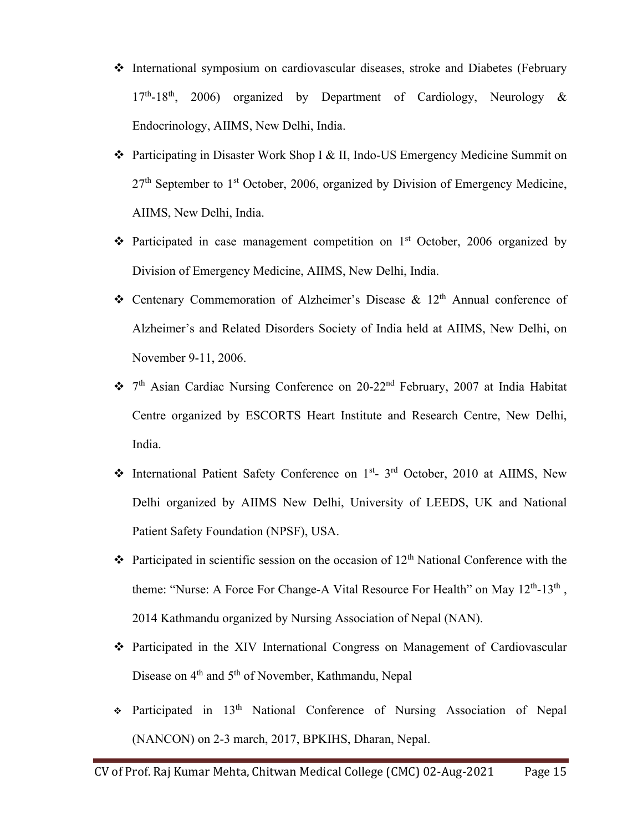- International symposium on cardiovascular diseases, stroke and Diabetes (February  $17<sup>th</sup>$ -18<sup>th</sup>, 2006) organized by Department of Cardiology, Neurology & Endocrinology, AIIMS, New Delhi, India.
- Participating in Disaster Work Shop I & II, Indo-US Emergency Medicine Summit on  $27<sup>th</sup>$  September to 1<sup>st</sup> October, 2006, organized by Division of Emergency Medicine, AIIMS, New Delhi, India.
- $\cdot \cdot$  Participated in case management competition on 1<sup>st</sup> October, 2006 organized by Division of Emergency Medicine, AIIMS, New Delhi, India.
- $\triangle$  Centenary Commemoration of Alzheimer's Disease & 12<sup>th</sup> Annual conference of Alzheimer's and Related Disorders Society of India held at AIIMS, New Delhi, on November 9-11, 2006.
- 7th Asian Cardiac Nursing Conference on 20-22nd February, 2007 at India Habitat Centre organized by ESCORTS Heart Institute and Research Centre, New Delhi, India.
- International Patient Safety Conference on 1<sup>st</sup>- 3<sup>rd</sup> October, 2010 at AIIMS, New Delhi organized by AIIMS New Delhi, University of LEEDS, UK and National Patient Safety Foundation (NPSF), USA.
- $\cdot \cdot$  Participated in scientific session on the occasion of 12<sup>th</sup> National Conference with the theme: "Nurse: A Force For Change-A Vital Resource For Health" on May  $12^{th}$ -13<sup>th</sup>, 2014 Kathmandu organized by Nursing Association of Nepal (NAN).
- Participated in the XIV International Congress on Management of Cardiovascular Disease on 4<sup>th</sup> and 5<sup>th</sup> of November, Kathmandu, Nepal
- $\div$  Participated in 13<sup>th</sup> National Conference of Nursing Association of Nepal (NANCON) on 2-3 march, 2017, BPKIHS, Dharan, Nepal.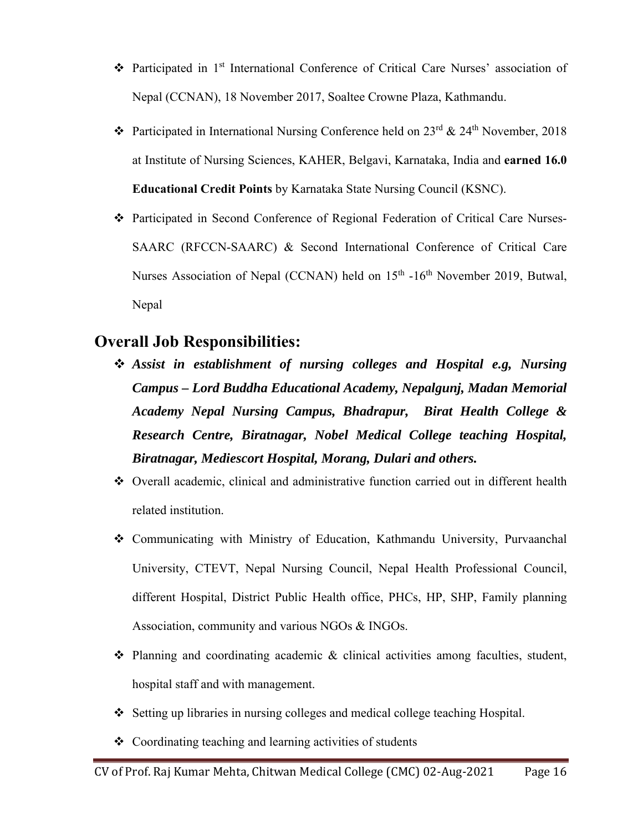- Participated in 1st International Conference of Critical Care Nurses' association of Nepal (CCNAN), 18 November 2017, Soaltee Crowne Plaza, Kathmandu.
- $\cdot \cdot$  Participated in International Nursing Conference held on 23<sup>rd</sup> & 24<sup>th</sup> November, 2018 at Institute of Nursing Sciences, KAHER, Belgavi, Karnataka, India and **earned 16.0 Educational Credit Points** by Karnataka State Nursing Council (KSNC).
- Participated in Second Conference of Regional Federation of Critical Care Nurses-SAARC (RFCCN-SAARC) & Second International Conference of Critical Care Nurses Association of Nepal (CCNAN) held on 15<sup>th</sup> -16<sup>th</sup> November 2019, Butwal, Nepal

### **Overall Job Responsibilities:**

- *Assist in establishment of nursing colleges and Hospital e.g, Nursing Campus – Lord Buddha Educational Academy, Nepalgunj, Madan Memorial Academy Nepal Nursing Campus, Bhadrapur, Birat Health College & Research Centre, Biratnagar, Nobel Medical College teaching Hospital, Biratnagar, Mediescort Hospital, Morang, Dulari and others.*
- Overall academic, clinical and administrative function carried out in different health related institution.
- Communicating with Ministry of Education, Kathmandu University, Purvaanchal University, CTEVT, Nepal Nursing Council, Nepal Health Professional Council, different Hospital, District Public Health office, PHCs, HP, SHP, Family planning Association, community and various NGOs & INGOs.
- $\triangle$  Planning and coordinating academic  $\&$  clinical activities among faculties, student, hospital staff and with management.
- Setting up libraries in nursing colleges and medical college teaching Hospital.
- $\triangle$  Coordinating teaching and learning activities of students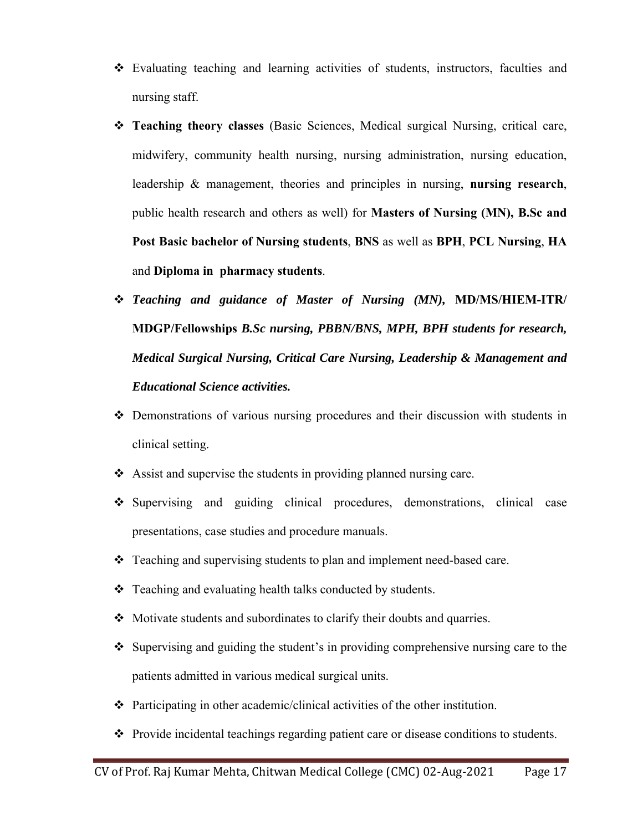- Evaluating teaching and learning activities of students, instructors, faculties and nursing staff.
- **Teaching theory classes** (Basic Sciences, Medical surgical Nursing, critical care, midwifery, community health nursing, nursing administration, nursing education, leadership & management, theories and principles in nursing, **nursing research**, public health research and others as well) for **Masters of Nursing (MN), B.Sc and Post Basic bachelor of Nursing students**, **BNS** as well as **BPH**, **PCL Nursing**, **HA**  and **Diploma in pharmacy students**.
- *Teaching and guidance of Master of Nursing (MN),* **MD/MS/HIEM-ITR/ MDGP/Fellowships** *B.Sc nursing, PBBN/BNS, MPH, BPH students for research, Medical Surgical Nursing, Critical Care Nursing, Leadership & Management and Educational Science activities.*
- Demonstrations of various nursing procedures and their discussion with students in clinical setting.
- $\triangleleft$  Assist and supervise the students in providing planned nursing care.
- Supervising and guiding clinical procedures, demonstrations, clinical case presentations, case studies and procedure manuals.
- Teaching and supervising students to plan and implement need-based care.
- Teaching and evaluating health talks conducted by students.
- Motivate students and subordinates to clarify their doubts and quarries.
- $\div$  Supervising and guiding the student's in providing comprehensive nursing care to the patients admitted in various medical surgical units.
- Participating in other academic/clinical activities of the other institution.
- \* Provide incidental teachings regarding patient care or disease conditions to students.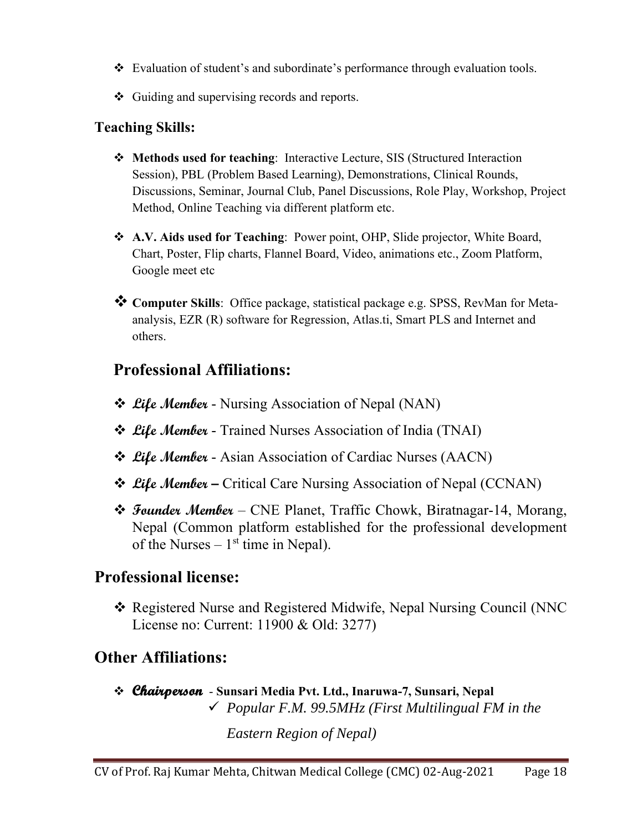- \* Evaluation of student's and subordinate's performance through evaluation tools.
- ❖ Guiding and supervising records and reports.

### **Teaching Skills:**

- **Methods used for teaching**: Interactive Lecture, SIS (Structured Interaction Session), PBL (Problem Based Learning), Demonstrations, Clinical Rounds, Discussions, Seminar, Journal Club, Panel Discussions, Role Play, Workshop, Project Method, Online Teaching via different platform etc.
- **A.V. Aids used for Teaching**: Power point, OHP, Slide projector, White Board, Chart, Poster, Flip charts, Flannel Board, Video, animations etc., Zoom Platform, Google meet etc
- **Computer Skills**: Office package, statistical package e.g. SPSS, RevMan for Metaanalysis, EZR (R) software for Regression, Atlas.ti, Smart PLS and Internet and others.

### **Professional Affiliations:**

- *❖ Lile Member* Nursing Association of Nepal (NAN)
- **Life Member** Trained Nurses Association of India (TNAI)
- **Life Member** Asian Association of Cardiac Nurses (AACN)
- **Life Member** Critical Care Nursing Association of Nepal (CCNAN)
- **Founder Member** CNE Planet, Traffic Chowk, Biratnagar-14, Morang, Nepal (Common platform established for the professional development of the Nurses  $-1<sup>st</sup>$  time in Nepal).

### **Professional license:**

 Registered Nurse and Registered Midwife, Nepal Nursing Council (NNC License no: Current: 11900 & Old: 3277)

### **Other Affiliations:**

 **Chairperson** - **Sunsari Media Pvt. Ltd., Inaruwa-7, Sunsari, Nepal**  *Popular F.M. 99.5MHz (First Multilingual FM in the* 

*Eastern Region of Nepal)*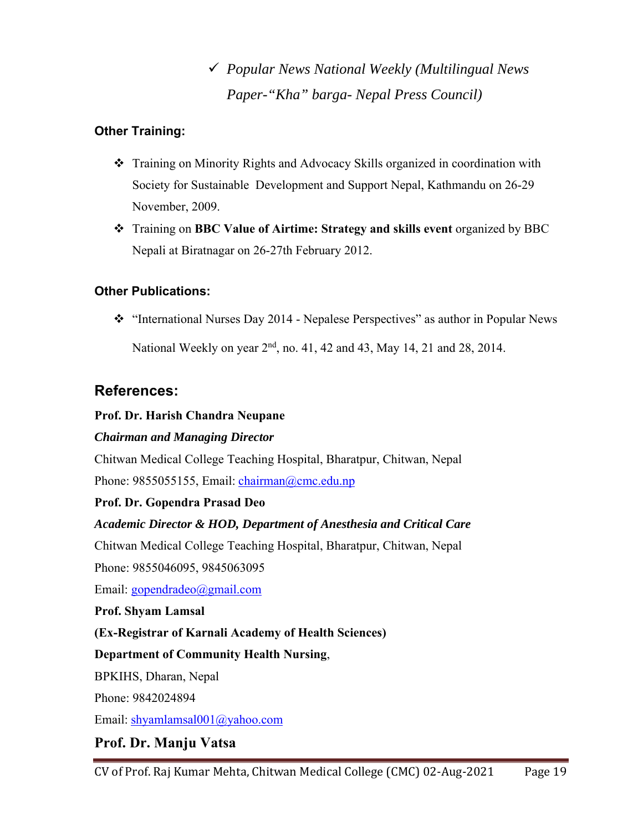# *Popular News National Weekly (Multilingual News Paper-"Kha" barga- Nepal Press Council)*

#### **Other Training:**

- Training on Minority Rights and Advocacy Skills organized in coordination with Society for Sustainable Development and Support Nepal, Kathmandu on 26-29 November, 2009.
- Training on **BBC Value of Airtime: Strategy and skills event** organized by BBC Nepali at Biratnagar on 26-27th February 2012.

#### **Other Publications:**

\* "International Nurses Day 2014 - Nepalese Perspectives" as author in Popular News National Weekly on year  $2<sup>nd</sup>$ , no. 41, 42 and 43, May 14, 21 and 28, 2014.

### **References:**

#### **Prof. Dr. Harish Chandra Neupane**

#### *Chairman and Managing Director*

Chitwan Medical College Teaching Hospital, Bharatpur, Chitwan, Nepal Phone: 9855055155, Email: chairman@cmc.edu.np

#### **Prof. Dr. Gopendra Prasad Deo**

#### *Academic Director & HOD, Department of Anesthesia and Critical Care*

Chitwan Medical College Teaching Hospital, Bharatpur, Chitwan, Nepal

Phone: 9855046095, 9845063095

Email: gopendradeo@gmail.com

#### **Prof. Shyam Lamsal**

#### **(Ex-Registrar of Karnali Academy of Health Sciences)**

#### **Department of Community Health Nursing**,

BPKIHS, Dharan, Nepal

Phone: 9842024894

Email: shyamlamsal001@yahoo.com

### **Prof. Dr. Manju Vatsa**